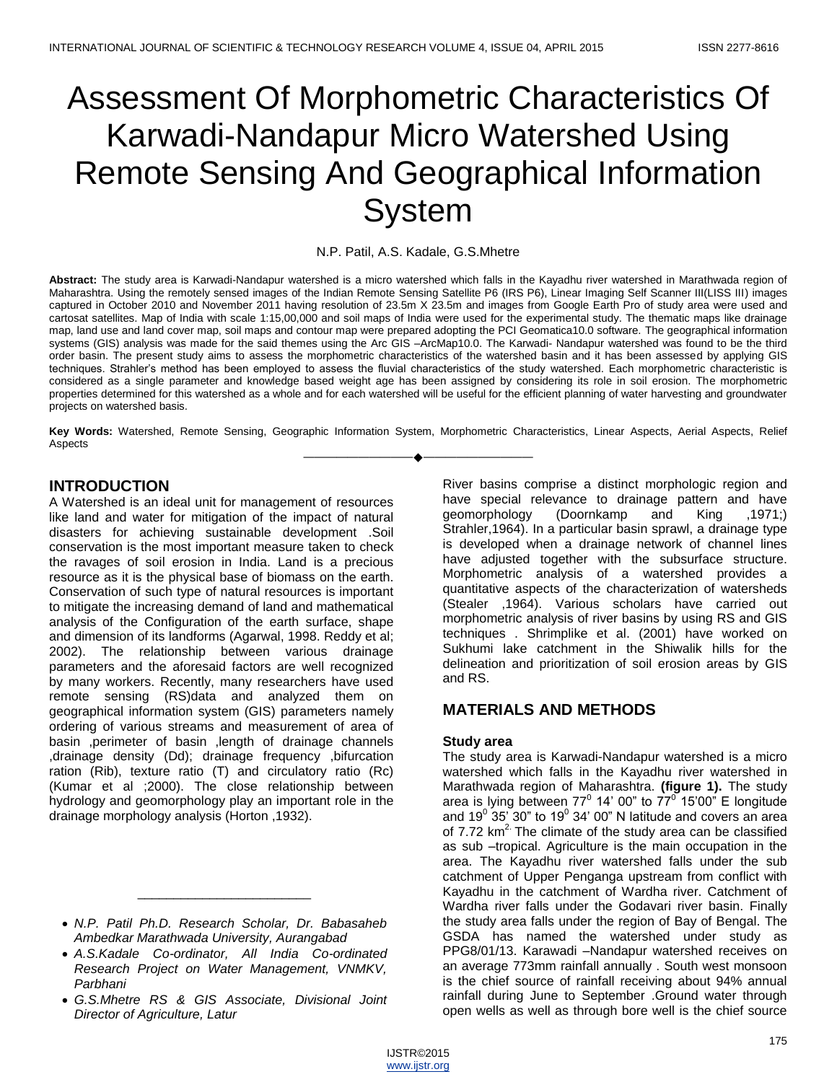# Assessment Of Morphometric Characteristics Of Karwadi-Nandapur Micro Watershed Using Remote Sensing And Geographical Information System

N.P. Patil, A.S. Kadale, G.S.Mhetre

**Abstract:** The study area is Karwadi-Nandapur watershed is a micro watershed which falls in the Kayadhu river watershed in Marathwada region of Maharashtra. Using the remotely sensed images of the Indian Remote Sensing Satellite P6 (IRS P6), Linear Imaging Self Scanner III(LISS III) images captured in October 2010 and November 2011 having resolution of 23.5m X 23.5m and images from Google Earth Pro of study area were used and cartosat satellites. Map of India with scale 1:15,00,000 and soil maps of India were used for the experimental study. The thematic maps like drainage map, land use and land cover map, soil maps and contour map were prepared adopting the PCI Geomatica10.0 software. The geographical information systems (GIS) analysis was made for the said themes using the Arc GIS –ArcMap10.0. The Karwadi- Nandapur watershed was found to be the third order basin. The present study aims to assess the morphometric characteristics of the watershed basin and it has been assessed by applying GIS techniques. Strahler's method has been employed to assess the fluvial characteristics of the study watershed. Each morphometric characteristic is considered as a single parameter and knowledge based weight age has been assigned by considering its role in soil erosion. The morphometric properties determined for this watershed as a whole and for each watershed will be useful for the efficient planning of water harvesting and groundwater projects on watershed basis.

**Key Words:** Watershed, Remote Sensing, Geographic Information System, Morphometric Characteristics, Linear Aspects, Aerial Aspects, Relief Aspects ————————————————————

# **INTRODUCTION**

A Watershed is an ideal unit for management of resources like land and water for mitigation of the impact of natural disasters for achieving sustainable development .Soil conservation is the most important measure taken to check the ravages of soil erosion in India. Land is a precious resource as it is the physical base of biomass on the earth. Conservation of such type of natural resources is important to mitigate the increasing demand of land and mathematical analysis of the Configuration of the earth surface, shape and dimension of its landforms (Agarwal, 1998. Reddy et al; 2002). The relationship between various drainage parameters and the aforesaid factors are well recognized by many workers. Recently, many researchers have used remote sensing (RS)data and analyzed them on geographical information system (GIS) parameters namely ordering of various streams and measurement of area of basin ,perimeter of basin ,length of drainage channels ,drainage density (Dd); drainage frequency ,bifurcation ration (Rib), texture ratio (T) and circulatory ratio (Rc) (Kumar et al ;2000). The close relationship between hydrology and geomorphology play an important role in the drainage morphology analysis (Horton ,1932).

 *N.P. Patil Ph.D. Research Scholar, Dr. Babasaheb Ambedkar Marathwada University, Aurangabad*

\_\_\_\_\_\_\_\_\_\_\_\_\_\_\_\_\_\_\_\_\_\_\_\_

- *A.S.Kadale Co-ordinator, All India Co-ordinated Research Project on Water Management, VNMKV, Parbhani*
- *G.S.Mhetre RS & GIS Associate, Divisional Joint Director of Agriculture, Latur*

River basins comprise a distinct morphologic region and have special relevance to drainage pattern and have geomorphology (Doornkamp and King ,1971;) Strahler,1964). In a particular basin sprawl, a drainage type is developed when a drainage network of channel lines have adjusted together with the subsurface structure. Morphometric analysis of a watershed provides a quantitative aspects of the characterization of watersheds (Stealer ,1964). Various scholars have carried out morphometric analysis of river basins by using RS and GIS techniques . Shrimplike et al. (2001) have worked on Sukhumi lake catchment in the Shiwalik hills for the delineation and prioritization of soil erosion areas by GIS and RS.

# **MATERIALS AND METHODS**

# **Study area**

The study area is Karwadi-Nandapur watershed is a micro watershed which falls in the Kayadhu river watershed in Marathwada region of Maharashtra. **(figure 1).** The study area is lying between 77 $^{\circ}$  14' 00" to 77 $^{\circ}$  15'00" E longitude and 19 $^{\circ}$  35' 30" to 19 $^{\circ}$  34' 00" N latitude and covers an area of  $7.72 \text{ km}^2$ . The climate of the study area can be classified as sub –tropical. Agriculture is the main occupation in the area. The Kayadhu river watershed falls under the sub catchment of Upper Penganga upstream from conflict with Kayadhu in the catchment of Wardha river. Catchment of Wardha river falls under the Godavari river basin. Finally the study area falls under the region of Bay of Bengal. The GSDA has named the watershed under study as PPG8/01/13. Karawadi –Nandapur watershed receives on an average 773mm rainfall annually . South west monsoon is the chief source of rainfall receiving about 94% annual rainfall during June to September .Ground water through open wells as well as through bore well is the chief source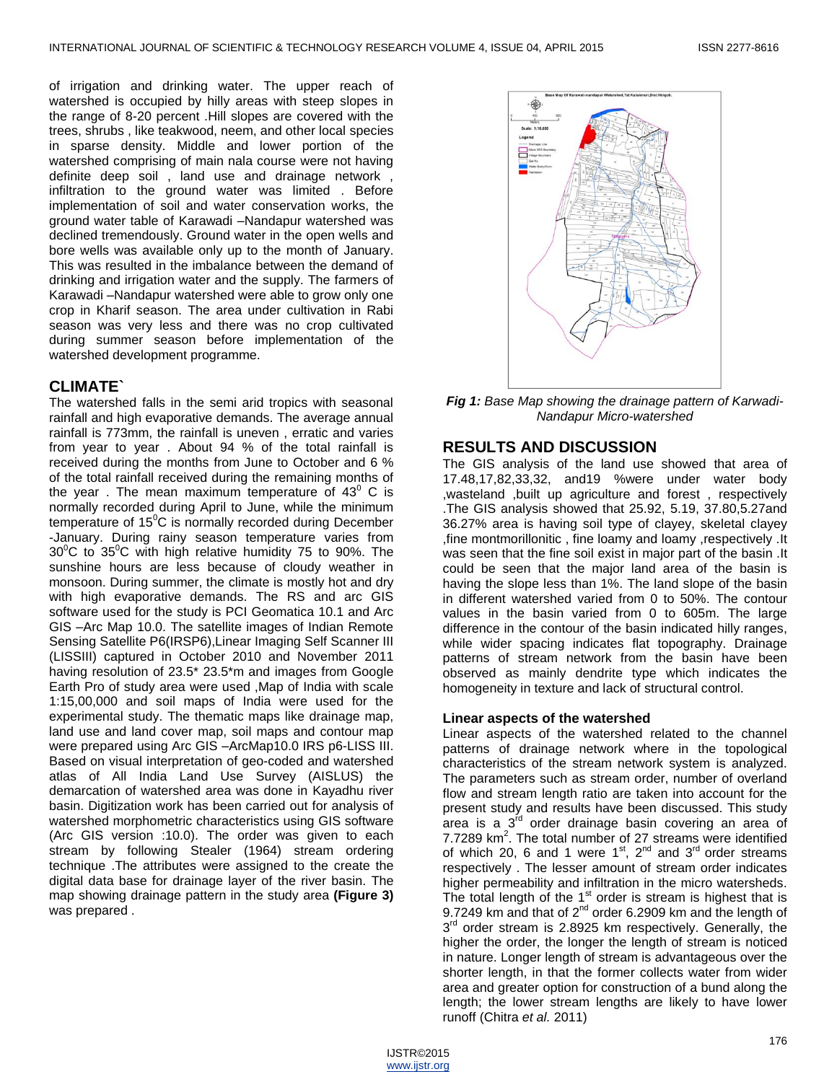of irrigation and drinking water. The upper reach of watershed is occupied by hilly areas with steep slopes in the range of 8-20 percent .Hill slopes are covered with the trees, shrubs , like teakwood, neem, and other local species in sparse density. Middle and lower portion of the watershed comprising of main nala course were not having definite deep soil , land use and drainage network , infiltration to the ground water was limited . Before implementation of soil and water conservation works, the ground water table of Karawadi –Nandapur watershed was declined tremendously. Ground water in the open wells and bore wells was available only up to the month of January. This was resulted in the imbalance between the demand of drinking and irrigation water and the supply. The farmers of Karawadi –Nandapur watershed were able to grow only one crop in Kharif season. The area under cultivation in Rabi season was very less and there was no crop cultivated during summer season before implementation of the watershed development programme.

# **CLIMATE`**

The watershed falls in the semi arid tropics with seasonal rainfall and high evaporative demands. The average annual rainfall is 773mm, the rainfall is uneven , erratic and varies from year to year . About 94 % of the total rainfall is received during the months from June to October and 6 % of the total rainfall received during the remaining months of the year . The mean maximum temperature of  $43^{\circ}$  C is normally recorded during April to June, while the minimum temperature of  $15^{\circ}$ C is normally recorded during December -January. During rainy season temperature varies from  $30^{\circ}$ C to  $35^{\circ}$ C with high relative humidity 75 to 90%. The sunshine hours are less because of cloudy weather in monsoon. During summer, the climate is mostly hot and dry with high evaporative demands. The RS and arc GIS software used for the study is PCI Geomatica 10.1 and Arc GIS –Arc Map 10.0. The satellite images of Indian Remote Sensing Satellite P6(IRSP6),Linear Imaging Self Scanner III (LISSIII) captured in October 2010 and November 2011 having resolution of 23.5\* 23.5\*m and images from Google Earth Pro of study area were used ,Map of India with scale 1:15,00,000 and soil maps of India were used for the experimental study. The thematic maps like drainage map, land use and land cover map, soil maps and contour map were prepared using Arc GIS –ArcMap10.0 IRS p6-LISS III. Based on visual interpretation of geo-coded and watershed atlas of All India Land Use Survey (AISLUS) the demarcation of watershed area was done in Kayadhu river basin. Digitization work has been carried out for analysis of watershed morphometric characteristics using GIS software (Arc GIS version :10.0). The order was given to each stream by following Stealer (1964) stream ordering technique .The attributes were assigned to the create the digital data base for drainage layer of the river basin. The map showing drainage pattern in the study area **(Figure 3)** was prepared .



*Fig 1: Base Map showing the drainage pattern of Karwadi-Nandapur Micro-watershed*

# **RESULTS AND DISCUSSION**

The GIS analysis of the land use showed that area of 17.48,17,82,33,32, and19 %were under water body ,wasteland ,built up agriculture and forest , respectively .The GIS analysis showed that 25.92, 5.19, 37.80,5.27and 36.27% area is having soil type of clayey, skeletal clayey ,fine montmorillonitic , fine loamy and loamy ,respectively .It was seen that the fine soil exist in major part of the basin .It could be seen that the major land area of the basin is having the slope less than 1%. The land slope of the basin in different watershed varied from 0 to 50%. The contour values in the basin varied from 0 to 605m. The large difference in the contour of the basin indicated hilly ranges, while wider spacing indicates flat topography. Drainage patterns of stream network from the basin have been observed as mainly dendrite type which indicates the homogeneity in texture and lack of structural control.

# **Linear aspects of the watershed**

Linear aspects of the watershed related to the channel patterns of drainage network where in the topological characteristics of the stream network system is analyzed. The parameters such as stream order, number of overland flow and stream length ratio are taken into account for the present study and results have been discussed. This study area is a 3<sup>fd</sup> order drainage basin covering an area of 7.7289 km<sup>2</sup>. The total number of 27 streams were identified of which 20, 6 and 1 were  $1^{\text{st}}$ ,  $2^{\text{nd}}$  and  $3^{\text{rd}}$  order streams respectively . The lesser amount of stream order indicates higher permeability and infiltration in the micro watersheds. The total length of the  $1<sup>st</sup>$  order is stream is highest that is 9.7249 km and that of  $2^{nd}$  order 6.2909 km and the length of 3<sup>rd</sup> order stream is 2.8925 km respectively. Generally, the higher the order, the longer the length of stream is noticed in nature. Longer length of stream is advantageous over the shorter length, in that the former collects water from wider area and greater option for construction of a bund along the length; the lower stream lengths are likely to have lower runoff (Chitra *et al.* 2011)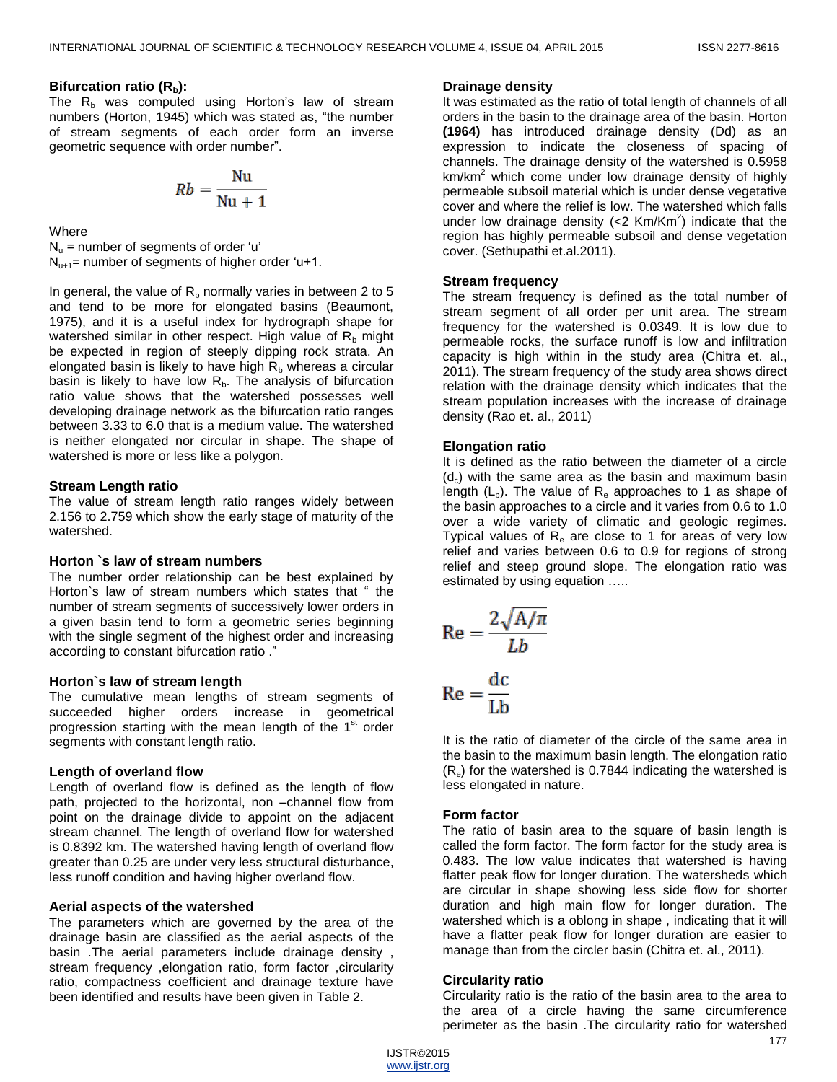## **Bifurcation ratio (Rb):**

The  $R_b$  was computed using Horton's law of stream numbers (Horton, 1945) which was stated as, "the number of stream segments of each order form an inverse geometric sequence with order number".

$$
Rb = \frac{Nu}{Nu + 1}
$$

**Where** 

 $N_{\text{u}}$  = number of segments of order 'u'  $N_{u+1}$ = number of segments of higher order 'u+1.

In general, the value of  $R<sub>b</sub>$  normally varies in between 2 to 5 and tend to be more for elongated basins (Beaumont, 1975), and it is a useful index for hydrograph shape for watershed similar in other respect. High value of  $R<sub>b</sub>$  might be expected in region of steeply dipping rock strata. An elongated basin is likely to have high  $R_b$  whereas a circular basin is likely to have low  $R_b$ . The analysis of bifurcation ratio value shows that the watershed possesses well developing drainage network as the bifurcation ratio ranges between 3.33 to 6.0 that is a medium value. The watershed is neither elongated nor circular in shape. The shape of watershed is more or less like a polygon.

#### **Stream Length ratio**

The value of stream length ratio ranges widely between 2.156 to 2.759 which show the early stage of maturity of the watershed.

# **Horton `s law of stream numbers**

The number order relationship can be best explained by Horton's law of stream numbers which states that " the number of stream segments of successively lower orders in a given basin tend to form a geometric series beginning with the single segment of the highest order and increasing according to constant bifurcation ratio ."

#### **Horton`s law of stream length**

The cumulative mean lengths of stream segments of succeeded higher orders increase in geometrical progression starting with the mean length of the 1<sup>st</sup> order segments with constant length ratio.

# **Length of overland flow**

Length of overland flow is defined as the length of flow path, projected to the horizontal, non –channel flow from point on the drainage divide to appoint on the adjacent stream channel. The length of overland flow for watershed is 0.8392 km. The watershed having length of overland flow greater than 0.25 are under very less structural disturbance, less runoff condition and having higher overland flow.

#### **Aerial aspects of the watershed**

The parameters which are governed by the area of the drainage basin are classified as the aerial aspects of the basin .The aerial parameters include drainage density , stream frequency , elongation ratio, form factor , circularity ratio, compactness coefficient and drainage texture have been identified and results have been given in Table 2.

#### **Drainage density**

It was estimated as the ratio of total length of channels of all orders in the basin to the drainage area of the basin. Horton **(1964)** has introduced drainage density (Dd) as an expression to indicate the closeness of spacing of channels. The drainage density of the watershed is 0.5958  $km/km<sup>2</sup>$  which come under low drainage density of highly permeable subsoil material which is under dense vegetative cover and where the relief is low. The watershed which falls under low drainage density (<2  $\text{Km/Km}^2$ ) indicate that the region has highly permeable subsoil and dense vegetation cover. (Sethupathi et.al.2011).

## **Stream frequency**

The stream frequency is defined as the total number of stream segment of all order per unit area. The stream frequency for the watershed is 0.0349. It is low due to permeable rocks, the surface runoff is low and infiltration capacity is high within in the study area (Chitra et. al., 2011). The stream frequency of the study area shows direct relation with the drainage density which indicates that the stream population increases with the increase of drainage density (Rao et. al., 2011)

# **Elongation ratio**

It is defined as the ratio between the diameter of a circle  $(d<sub>c</sub>)$  with the same area as the basin and maximum basin length  $(L_b)$ . The value of R<sub>e</sub> approaches to 1 as shape of the basin approaches to a circle and it varies from 0.6 to 1.0 over a wide variety of climatic and geologic regimes. Typical values of  $R<sub>e</sub>$  are close to 1 for areas of very low relief and varies between 0.6 to 0.9 for regions of strong relief and steep ground slope. The elongation ratio was estimated by using equation …..

$$
Re = \frac{2\sqrt{A/\pi}}{Lb}
$$

$$
Re = \frac{dc}{Lb}
$$

It is the ratio of diameter of the circle of the same area in the basin to the maximum basin length. The elongation ratio  $(R_e)$  for the watershed is 0.7844 indicating the watershed is less elongated in nature.

#### **Form factor**

The ratio of basin area to the square of basin length is called the form factor. The form factor for the study area is 0.483. The low value indicates that watershed is having flatter peak flow for longer duration. The watersheds which are circular in shape showing less side flow for shorter duration and high main flow for longer duration. The watershed which is a oblong in shape , indicating that it will have a flatter peak flow for longer duration are easier to manage than from the circler basin (Chitra et. al., 2011).

#### **Circularity ratio**

Circularity ratio is the ratio of the basin area to the area to the area of a circle having the same circumference perimeter as the basin .The circularity ratio for watershed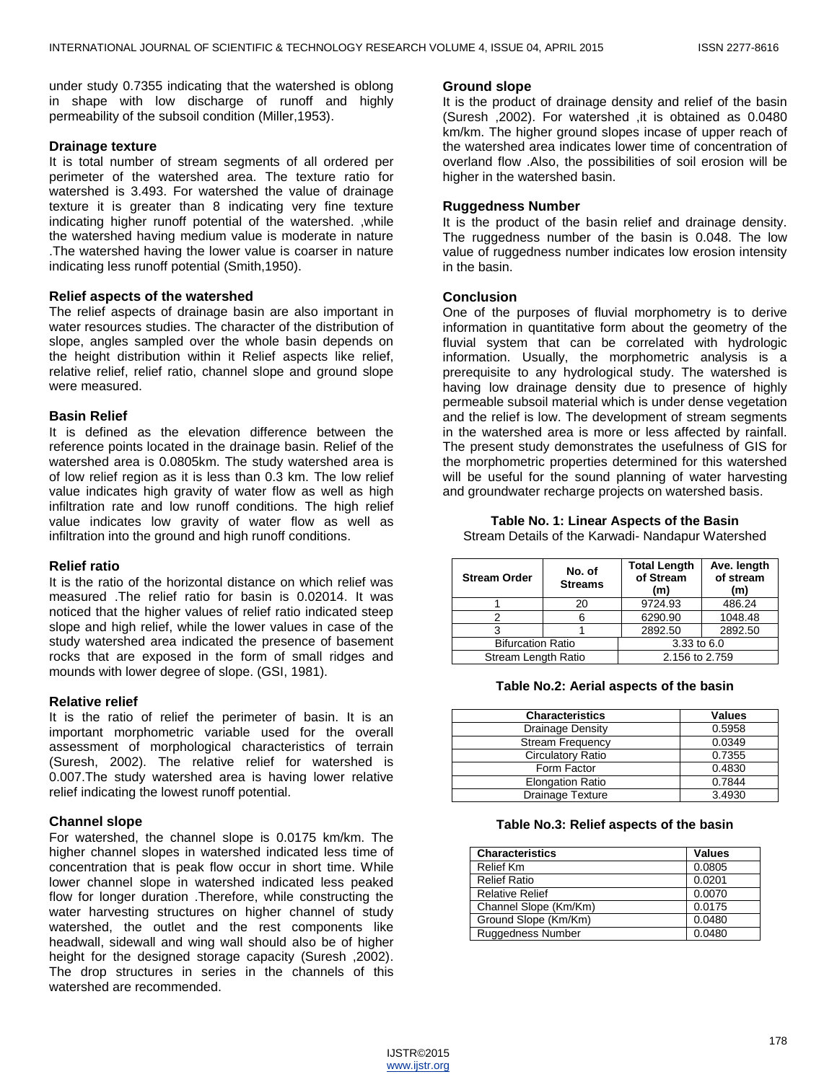under study 0.7355 indicating that the watershed is oblong in shape with low discharge of runoff and highly permeability of the subsoil condition (Miller,1953).

## **Drainage texture**

It is total number of stream segments of all ordered per perimeter of the watershed area. The texture ratio for watershed is 3.493. For watershed the value of drainage texture it is greater than 8 indicating very fine texture indicating higher runoff potential of the watershed. ,while the watershed having medium value is moderate in nature .The watershed having the lower value is coarser in nature indicating less runoff potential (Smith,1950).

## **Relief aspects of the watershed**

The relief aspects of drainage basin are also important in water resources studies. The character of the distribution of slope, angles sampled over the whole basin depends on the height distribution within it Relief aspects like relief, relative relief, relief ratio, channel slope and ground slope were measured.

#### **Basin Relief**

It is defined as the elevation difference between the reference points located in the drainage basin. Relief of the watershed area is 0.0805km. The study watershed area is of low relief region as it is less than 0.3 km. The low relief value indicates high gravity of water flow as well as high infiltration rate and low runoff conditions. The high relief value indicates low gravity of water flow as well as infiltration into the ground and high runoff conditions.

#### **Relief ratio**

It is the ratio of the horizontal distance on which relief was measured .The relief ratio for basin is 0.02014. It was noticed that the higher values of relief ratio indicated steep slope and high relief, while the lower values in case of the study watershed area indicated the presence of basement rocks that are exposed in the form of small ridges and mounds with lower degree of slope. (GSI, 1981).

#### **Relative relief**

It is the ratio of relief the perimeter of basin. It is an important morphometric variable used for the overall assessment of morphological characteristics of terrain (Suresh, 2002). The relative relief for watershed is 0.007.The study watershed area is having lower relative relief indicating the lowest runoff potential.

# **Channel slope**

For watershed, the channel slope is 0.0175 km/km. The higher channel slopes in watershed indicated less time of concentration that is peak flow occur in short time. While lower channel slope in watershed indicated less peaked flow for longer duration .Therefore, while constructing the water harvesting structures on higher channel of study watershed, the outlet and the rest components like headwall, sidewall and wing wall should also be of higher height for the designed storage capacity (Suresh ,2002). The drop structures in series in the channels of this watershed are recommended.

#### **Ground slope**

It is the product of drainage density and relief of the basin (Suresh ,2002). For watershed ,it is obtained as 0.0480 km/km. The higher ground slopes incase of upper reach of the watershed area indicates lower time of concentration of overland flow .Also, the possibilities of soil erosion will be higher in the watershed basin.

#### **Ruggedness Number**

It is the product of the basin relief and drainage density. The ruggedness number of the basin is 0.048. The low value of ruggedness number indicates low erosion intensity in the basin.

## **Conclusion**

One of the purposes of fluvial morphometry is to derive information in quantitative form about the geometry of the fluvial system that can be correlated with hydrologic information. Usually, the morphometric analysis is a prerequisite to any hydrological study. The watershed is having low drainage density due to presence of highly permeable subsoil material which is under dense vegetation and the relief is low. The development of stream segments in the watershed area is more or less affected by rainfall. The present study demonstrates the usefulness of GIS for the morphometric properties determined for this watershed will be useful for the sound planning of water harvesting and groundwater recharge projects on watershed basis.

#### **Table No. 1: Linear Aspects of the Basin** Stream Details of the Karwadi- Nandapur Watershed

| <b>Stream Order</b>      | No. of<br><b>Streams</b> | <b>Total Length</b><br>of Stream<br>(m) | Ave. length<br>of stream<br>(m) |
|--------------------------|--------------------------|-----------------------------------------|---------------------------------|
|                          | 20                       | 9724.93                                 | 486.24                          |
|                          |                          | 6290.90                                 | 1048.48                         |
| ◠                        |                          | 2892.50                                 | 2892.50                         |
| <b>Bifurcation Ratio</b> |                          | 3.33 to 6.0                             |                                 |
| Stream Length Ratio      |                          | 2.156 to 2.759                          |                                 |

#### **Table No.2: Aerial aspects of the basin**

| <b>Characteristics</b>  | <b>Values</b> |
|-------------------------|---------------|
| Drainage Density        | 0.5958        |
| <b>Stream Frequency</b> | 0.0349        |
| Circulatory Ratio       | 0.7355        |
| Form Factor             | 0.4830        |
| <b>Elongation Ratio</b> | 0.7844        |
| <b>Drainage Texture</b> | 3.4930        |

#### **Table No.3: Relief aspects of the basin**

| <b>Characteristics</b> | <b>Values</b> |
|------------------------|---------------|
| Relief Km              | 0.0805        |
| <b>Relief Ratio</b>    | 0.0201        |
| <b>Relative Relief</b> | 0.0070        |
| Channel Slope (Km/Km)  | 0.0175        |
| Ground Slope (Km/Km)   | 0.0480        |
| Ruggedness Number      | 0.0480        |